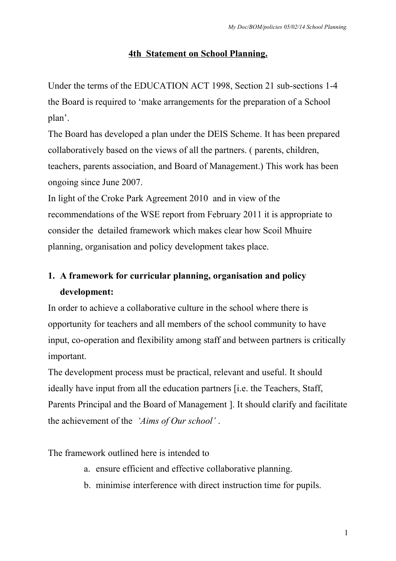## **4th Statement on School Planning.**

Under the terms of the EDUCATION ACT 1998, Section 21 sub-sections 1-4 the Board is required to 'make arrangements for the preparation of a School plan'.

The Board has developed a plan under the DEIS Scheme. It has been prepared collaboratively based on the views of all the partners. ( parents, children, teachers, parents association, and Board of Management.) This work has been ongoing since June 2007.

In light of the Croke Park Agreement 2010 and in view of the recommendations of the WSE report from February 2011 it is appropriate to consider the detailed framework which makes clear how Scoil Mhuire planning, organisation and policy development takes place.

# **1. A framework for curricular planning, organisation and policy development:**

In order to achieve a collaborative culture in the school where there is opportunity for teachers and all members of the school community to have input, co-operation and flexibility among staff and between partners is critically important.

The development process must be practical, relevant and useful. It should ideally have input from all the education partners [i.e. the Teachers, Staff, Parents Principal and the Board of Management ]. It should clarify and facilitate the achievement of the *'Aims of Our school'* .

The framework outlined here is intended to

- a. ensure efficient and effective collaborative planning.
- b. minimise interference with direct instruction time for pupils.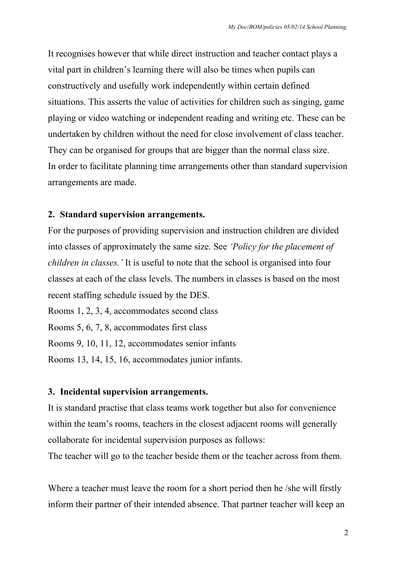It recognises however that while direct instruction and teacher contact plays a vital part in children's learning there will also be times when pupils can constructively and usefully work independently within certain defined situations. This asserts the value of activities for children such as singing, game playing or video watching or independent reading and writing etc. These can be undertaken by children without the need for close involvement of class teacher. They can be organised for groups that are bigger than the normal class size. In order to facilitate planning time arrangements other than standard supervision arrangements are made.

### **2. Standard supervision arrangements.**

For the purposes of providing supervision and instruction children are divided into classes of approximately the same size. See *'Policy for the placement of children in classes.'* It is useful to note that the school is organised into four classes at each of the class levels. The numbers in classes is based on the most recent staffing schedule issued by the DES.

Rooms 1, 2, 3, 4, accommodates second class

Rooms 5, 6, 7, 8, accommodates first class

Rooms 9, 10, 11, 12, accommodates senior infants

Rooms 13, 14, 15, 16, accommodates junior infants.

## **3. Incidental supervision arrangements.**

It is standard practise that class teams work together but also for convenience within the team's rooms, teachers in the closest adjacent rooms will generally collaborate for incidental supervision purposes as follows:

The teacher will go to the teacher beside them or the teacher across from them.

Where a teacher must leave the room for a short period then he /she will firstly inform their partner of their intended absence. That partner teacher will keep an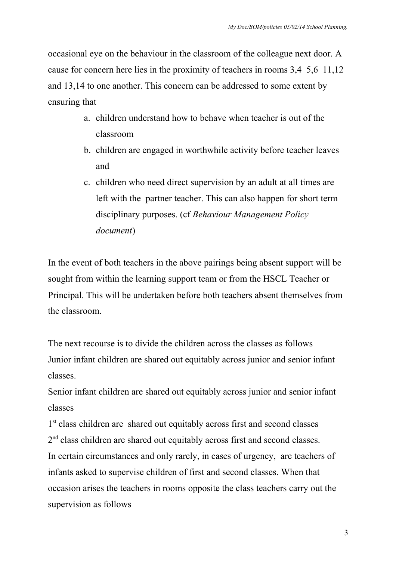occasional eye on the behaviour in the classroom of the colleague next door. A cause for concern here lies in the proximity of teachers in rooms 3,4 5,6 11,12 and 13,14 to one another. This concern can be addressed to some extent by ensuring that

- a. children understand how to behave when teacher is out of the classroom
- b. children are engaged in worthwhile activity before teacher leaves and
- c. children who need direct supervision by an adult at all times are left with the partner teacher. This can also happen for short term disciplinary purposes. (cf *Behaviour Management Policy document*)

In the event of both teachers in the above pairings being absent support will be sought from within the learning support team or from the HSCL Teacher or Principal. This will be undertaken before both teachers absent themselves from the classroom.

The next recourse is to divide the children across the classes as follows Junior infant children are shared out equitably across junior and senior infant classes.

Senior infant children are shared out equitably across junior and senior infant classes

1<sup>st</sup> class children are shared out equitably across first and second classes 2<sup>nd</sup> class children are shared out equitably across first and second classes. In certain circumstances and only rarely, in cases of urgency, are teachers of infants asked to supervise children of first and second classes. When that occasion arises the teachers in rooms opposite the class teachers carry out the supervision as follows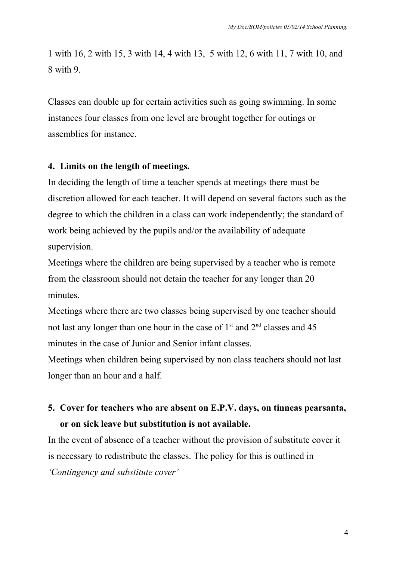1 with 16, 2 with 15, 3 with 14, 4 with 13, 5 with 12, 6 with 11, 7 with 10, and 8 with 9.

Classes can double up for certain activities such as going swimming. In some instances four classes from one level are brought together for outings or assemblies for instance.

## **4. Limits on the length of meetings.**

In deciding the length of time a teacher spends at meetings there must be discretion allowed for each teacher. It will depend on several factors such as the degree to which the children in a class can work independently; the standard of work being achieved by the pupils and/or the availability of adequate supervision.

Meetings where the children are being supervised by a teacher who is remote from the classroom should not detain the teacher for any longer than 20 minutes.

Meetings where there are two classes being supervised by one teacher should not last any longer than one hour in the case of  $1<sup>st</sup>$  and  $2<sup>nd</sup>$  classes and 45 minutes in the case of Junior and Senior infant classes.

Meetings when children being supervised by non class teachers should not last longer than an hour and a half.

# **5. Cover for teachers who are absent on E.P.V. days, on tinneas pearsanta, or on sick leave but substitution is not available.**

In the event of absence of a teacher without the provision of substitute cover it is necessary to redistribute the classes. The policy for this is outlined in *'Contingency and substitute cover'*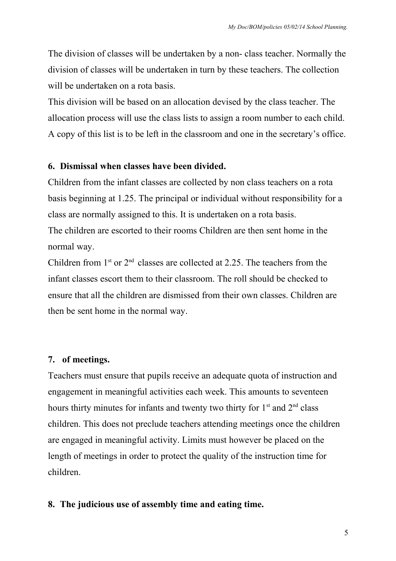The division of classes will be undertaken by a non- class teacher. Normally the division of classes will be undertaken in turn by these teachers. The collection will be undertaken on a rota basis.

This division will be based on an allocation devised by the class teacher. The allocation process will use the class lists to assign a room number to each child. A copy of this list is to be left in the classroom and one in the secretary's office.

## **6. Dismissal when classes have been divided.**

Children from the infant classes are collected by non class teachers on a rota basis beginning at 1.25. The principal or individual without responsibility for a class are normally assigned to this. It is undertaken on a rota basis. The children are escorted to their rooms Children are then sent home in the normal way.

Children from  $1<sup>st</sup>$  or  $2<sup>nd</sup>$  classes are collected at 2.25. The teachers from the infant classes escort them to their classroom. The roll should be checked to ensure that all the children are dismissed from their own classes. Children are then be sent home in the normal way.

## **7. of meetings.**

Teachers must ensure that pupils receive an adequate quota of instruction and engagement in meaningful activities each week. This amounts to seventeen hours thirty minutes for infants and twenty two thirty for 1<sup>st</sup> and 2<sup>nd</sup> class children. This does not preclude teachers attending meetings once the children are engaged in meaningful activity. Limits must however be placed on the length of meetings in order to protect the quality of the instruction time for children.

## **8. The judicious use of assembly time and eating time.**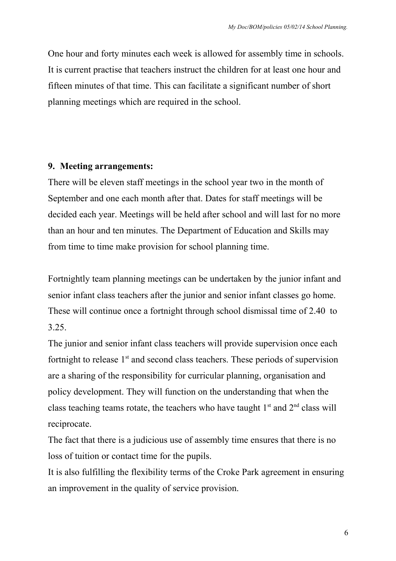One hour and forty minutes each week is allowed for assembly time in schools. It is current practise that teachers instruct the children for at least one hour and fifteen minutes of that time. This can facilitate a significant number of short planning meetings which are required in the school.

## **9. Meeting arrangements:**

There will be eleven staff meetings in the school year two in the month of September and one each month after that. Dates for staff meetings will be decided each year. Meetings will be held after school and will last for no more than an hour and ten minutes. The Department of Education and Skills may from time to time make provision for school planning time.

Fortnightly team planning meetings can be undertaken by the junior infant and senior infant class teachers after the junior and senior infant classes go home. These will continue once a fortnight through school dismissal time of 2.40 to 3.25.

The junior and senior infant class teachers will provide supervision once each fortnight to release  $1<sup>st</sup>$  and second class teachers. These periods of supervision are a sharing of the responsibility for curricular planning, organisation and policy development. They will function on the understanding that when the class teaching teams rotate, the teachers who have taught  $1<sup>st</sup>$  and  $2<sup>nd</sup>$  class will reciprocate.

The fact that there is a judicious use of assembly time ensures that there is no loss of tuition or contact time for the pupils.

It is also fulfilling the flexibility terms of the Croke Park agreement in ensuring an improvement in the quality of service provision.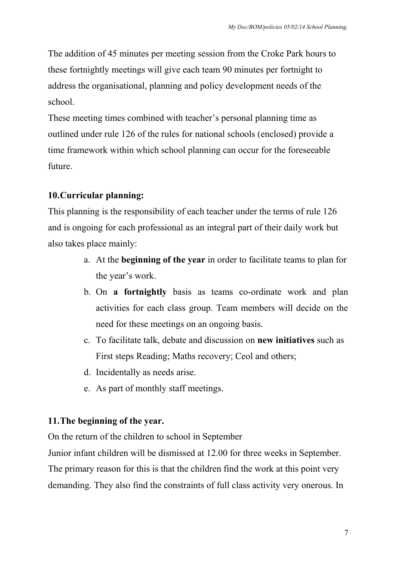The addition of 45 minutes per meeting session from the Croke Park hours to these fortnightly meetings will give each team 90 minutes per fortnight to address the organisational, planning and policy development needs of the school.

These meeting times combined with teacher's personal planning time as outlined under rule 126 of the rules for national schools (enclosed) provide a time framework within which school planning can occur for the foreseeable future.

# **10.Curricular planning:**

This planning is the responsibility of each teacher under the terms of rule 126 and is ongoing for each professional as an integral part of their daily work but also takes place mainly:

- a. At the **beginning of the year** in order to facilitate teams to plan for the year's work.
- b. On **a fortnightly** basis as teams co-ordinate work and plan activities for each class group. Team members will decide on the need for these meetings on an ongoing basis.
- c. To facilitate talk, debate and discussion on **new initiatives** such as First steps Reading; Maths recovery; Ceol and others;
- d. Incidentally as needs arise.
- e. As part of monthly staff meetings.

# **11.The beginning of the year.**

On the return of the children to school in September

Junior infant children will be dismissed at 12.00 for three weeks in September. The primary reason for this is that the children find the work at this point very demanding. They also find the constraints of full class activity very onerous. In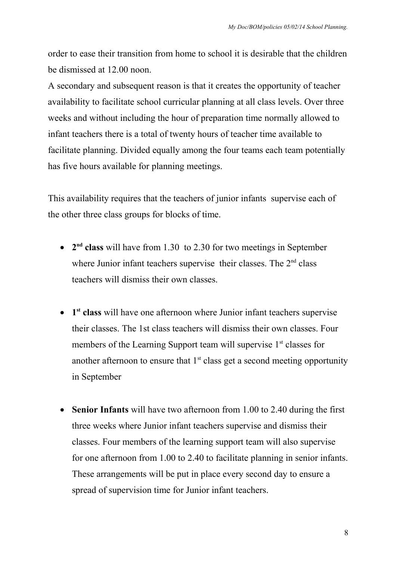order to ease their transition from home to school it is desirable that the children be dismissed at 12.00 noon.

A secondary and subsequent reason is that it creates the opportunity of teacher availability to facilitate school curricular planning at all class levels. Over three weeks and without including the hour of preparation time normally allowed to infant teachers there is a total of twenty hours of teacher time available to facilitate planning. Divided equally among the four teams each team potentially has five hours available for planning meetings.

This availability requires that the teachers of junior infants supervise each of the other three class groups for blocks of time.

- 2<sup>nd</sup> class will have from 1.30 to 2.30 for two meetings in September where Junior infant teachers supervise their classes. The  $2<sup>nd</sup>$  class teachers will dismiss their own classes.
- **1 st class** will have one afternoon where Junior infant teachers supervise their classes. The 1st class teachers will dismiss their own classes. Four members of the Learning Support team will supervise  $1<sup>st</sup>$  classes for another afternoon to ensure that  $1<sup>st</sup>$  class get a second meeting opportunity in September
- **Senior Infants** will have two afternoon from 1.00 to 2.40 during the first three weeks where Junior infant teachers supervise and dismiss their classes. Four members of the learning support team will also supervise for one afternoon from 1.00 to 2.40 to facilitate planning in senior infants. These arrangements will be put in place every second day to ensure a spread of supervision time for Junior infant teachers.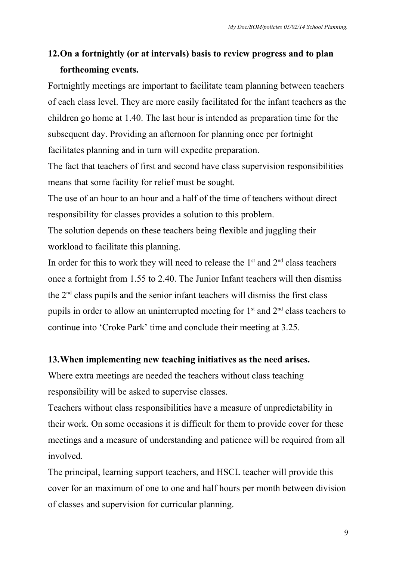# **12.On a fortnightly (or at intervals) basis to review progress and to plan forthcoming events.**

Fortnightly meetings are important to facilitate team planning between teachers of each class level. They are more easily facilitated for the infant teachers as the children go home at 1.40. The last hour is intended as preparation time for the subsequent day. Providing an afternoon for planning once per fortnight facilitates planning and in turn will expedite preparation.

The fact that teachers of first and second have class supervision responsibilities means that some facility for relief must be sought.

The use of an hour to an hour and a half of the time of teachers without direct responsibility for classes provides a solution to this problem.

The solution depends on these teachers being flexible and juggling their workload to facilitate this planning.

In order for this to work they will need to release the  $1<sup>st</sup>$  and  $2<sup>nd</sup>$  class teachers once a fortnight from 1.55 to 2.40. The Junior Infant teachers will then dismiss the  $2<sup>nd</sup>$  class pupils and the senior infant teachers will dismiss the first class pupils in order to allow an uninterrupted meeting for  $1<sup>st</sup>$  and  $2<sup>nd</sup>$  class teachers to continue into 'Croke Park' time and conclude their meeting at 3.25.

## **13.When implementing new teaching initiatives as the need arises.**

Where extra meetings are needed the teachers without class teaching responsibility will be asked to supervise classes.

Teachers without class responsibilities have a measure of unpredictability in their work. On some occasions it is difficult for them to provide cover for these meetings and a measure of understanding and patience will be required from all involved.

The principal, learning support teachers, and HSCL teacher will provide this cover for an maximum of one to one and half hours per month between division of classes and supervision for curricular planning.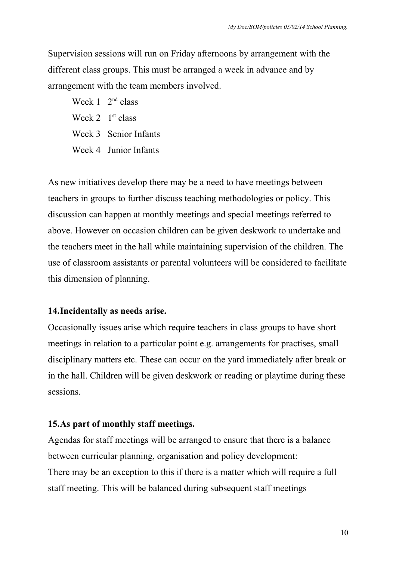Supervision sessions will run on Friday afternoons by arrangement with the different class groups. This must be arranged a week in advance and by arrangement with the team members involved.

Week  $1 \cdot 2^{nd}$  class Week  $2 \text{ } 1^{\text{st}}$  class Week 3 Senior Infants Week 4 Junior Infants

As new initiatives develop there may be a need to have meetings between teachers in groups to further discuss teaching methodologies or policy. This discussion can happen at monthly meetings and special meetings referred to above. However on occasion children can be given deskwork to undertake and the teachers meet in the hall while maintaining supervision of the children. The use of classroom assistants or parental volunteers will be considered to facilitate this dimension of planning.

## **14.Incidentally as needs arise.**

Occasionally issues arise which require teachers in class groups to have short meetings in relation to a particular point e.g. arrangements for practises, small disciplinary matters etc. These can occur on the yard immediately after break or in the hall. Children will be given deskwork or reading or playtime during these sessions.

#### **15.As part of monthly staff meetings.**

Agendas for staff meetings will be arranged to ensure that there is a balance between curricular planning, organisation and policy development: There may be an exception to this if there is a matter which will require a full staff meeting. This will be balanced during subsequent staff meetings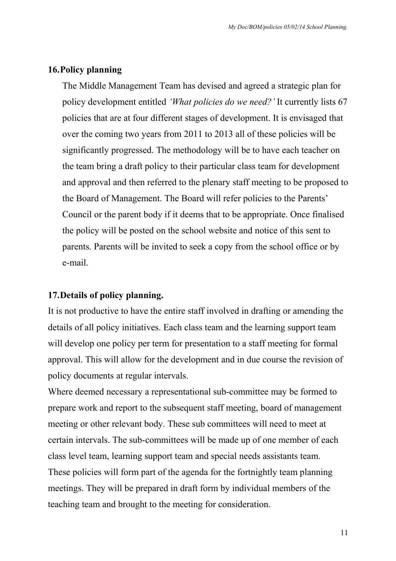## **16.Policy planning**

The Middle Management Team has devised and agreed a strategic plan for policy development entitled *'What policies do we need?'* It currently lists 67 policies that are at four different stages of development. It is envisaged that over the coming two years from 2011 to 2013 all of these policies will be significantly progressed. The methodology will be to have each teacher on the team bring a draft policy to their particular class team for development and approval and then referred to the plenary staff meeting to be proposed to the Board of Management. The Board will refer policies to the Parents' Council or the parent body if it deems that to be appropriate. Once finalised the policy will be posted on the school website and notice of this sent to parents. Parents will be invited to seek a copy from the school office or by e-mail.

## **17.Details of policy planning.**

It is not productive to have the entire staff involved in drafting or amending the details of all policy initiatives. Each class team and the learning support team will develop one policy per term for presentation to a staff meeting for formal approval. This will allow for the development and in due course the revision of policy documents at regular intervals.

Where deemed necessary a representational sub-committee may be formed to prepare work and report to the subsequent staff meeting, board of management meeting or other relevant body. These sub committees will need to meet at certain intervals. The sub-committees will be made up of one member of each class level team, learning support team and special needs assistants team. These policies will form part of the agenda for the fortnightly team planning meetings. They will be prepared in draft form by individual members of the teaching team and brought to the meeting for consideration.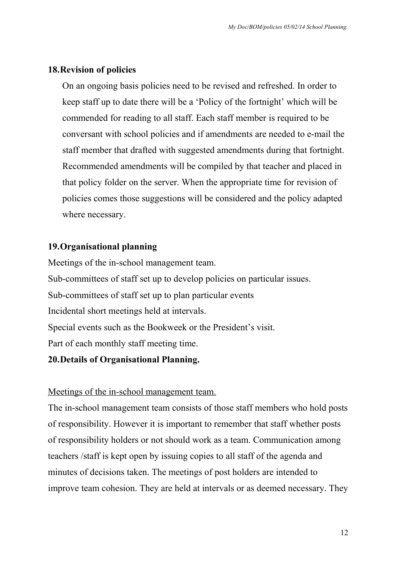## **18.Revision of policies**

On an ongoing basis policies need to be revised and refreshed. In order to keep staff up to date there will be a 'Policy of the fortnight' which will be commended for reading to all staff. Each staff member is required to be conversant with school policies and if amendments are needed to e-mail the staff member that drafted with suggested amendments during that fortnight. Recommended amendments will be compiled by that teacher and placed in that policy folder on the server. When the appropriate time for revision of policies comes those suggestions will be considered and the policy adapted where necessary.

## **19.Organisational planning**

Meetings of the in-school management team. Sub-committees of staff set up to develop policies on particular issues. Sub-committees of staff set up to plan particular events Incidental short meetings held at intervals. Special events such as the Bookweek or the President's visit. Part of each monthly staff meeting time.

## **20.Details of Organisational Planning.**

## Meetings of the in-school management team.

The in-school management team consists of those staff members who hold posts of responsibility. However it is important to remember that staff whether posts of responsibility holders or not should work as a team. Communication among teachers /staff is kept open by issuing copies to all staff of the agenda and minutes of decisions taken. The meetings of post holders are intended to improve team cohesion. They are held at intervals or as deemed necessary. They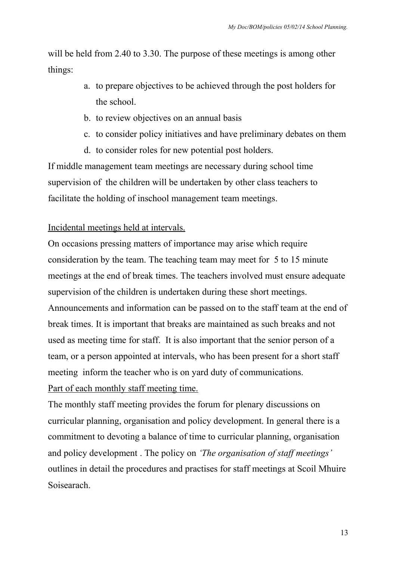will be held from 2.40 to 3.30. The purpose of these meetings is among other things:

- a. to prepare objectives to be achieved through the post holders for the school.
- b. to review objectives on an annual basis
- c. to consider policy initiatives and have preliminary debates on them
- d. to consider roles for new potential post holders.

If middle management team meetings are necessary during school time supervision of the children will be undertaken by other class teachers to facilitate the holding of inschool management team meetings.

# Incidental meetings held at intervals.

On occasions pressing matters of importance may arise which require consideration by the team. The teaching team may meet for 5 to 15 minute meetings at the end of break times. The teachers involved must ensure adequate supervision of the children is undertaken during these short meetings. Announcements and information can be passed on to the staff team at the end of break times. It is important that breaks are maintained as such breaks and not used as meeting time for staff. It is also important that the senior person of a team, or a person appointed at intervals, who has been present for a short staff meeting inform the teacher who is on yard duty of communications. Part of each monthly staff meeting time.

The monthly staff meeting provides the forum for plenary discussions on curricular planning, organisation and policy development. In general there is a commitment to devoting a balance of time to curricular planning, organisation and policy development . The policy on *'The organisation of staff meetings'* outlines in detail the procedures and practises for staff meetings at Scoil Mhuire Soisearach.